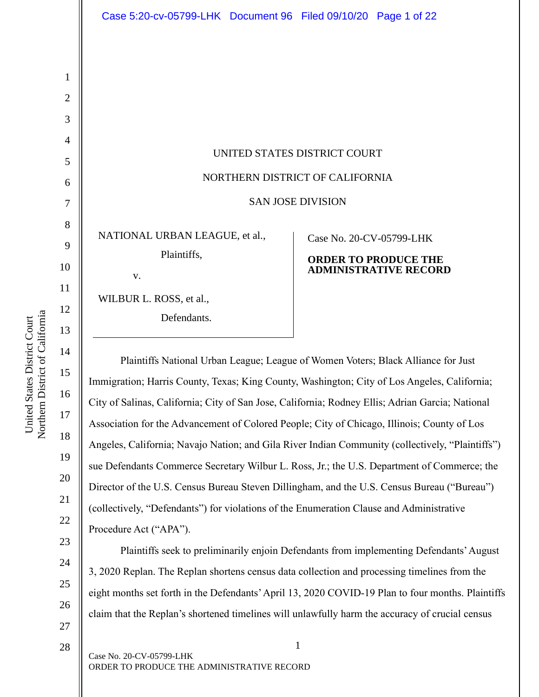| Case 5:20-cv-05799-LHK Document 96 Filed 09/10/20 Page 1 of 22 |                                 |
|----------------------------------------------------------------|---------------------------------|
|                                                                |                                 |
|                                                                |                                 |
|                                                                |                                 |
|                                                                |                                 |
|                                                                |                                 |
|                                                                |                                 |
|                                                                | UNITED STATES DISTRICT COURT    |
|                                                                | NORTHERN DISTRICT OF CALIFORNIA |
|                                                                | <b>SAN JOSE DIVISION</b>        |
| NATIONAL URBAN LEAGUE, et al.,                                 | Case No. 20-CV-05799-LHK        |
| Plaintiffs,                                                    | <b>ORDER TO PRODUCE THE</b>     |
| V.                                                             | <b>ADMINISTRATIVE RECORD</b>    |
| WILBUR L. ROSS, et al.,                                        |                                 |
| Defendants.                                                    |                                 |

Plaintiffs National Urban League; League of Women Voters; Black Alliance for Just Immigration; Harris County, Texas; King County, Washington; City of Los Angeles, California; City of Salinas, California; City of San Jose, California; Rodney Ellis; Adrian Garcia; National Association for the Advancement of Colored People; City of Chicago, Illinois; County of Los Angeles, California; Navajo Nation; and Gila River Indian Community (collectively, "Plaintiffs") sue Defendants Commerce Secretary Wilbur L. Ross, Jr.; the U.S. Department of Commerce; the Director of the U.S. Census Bureau Steven Dillingham, and the U.S. Census Bureau ("Bureau") (collectively, "Defendants") for violations of the Enumeration Clause and Administrative Procedure Act ("APA").

Plaintiffs seek to preliminarily enjoin Defendants from implementing Defendants' August 3, 2020 Replan. The Replan shortens census data collection and processing timelines from the eight months set forth in the Defendants' April 13, 2020 COVID-19 Plan to four months. Plaintiffs claim that the Replan's shortened timelines will unlawfully harm the accuracy of crucial census

15

16

17

18

19

20

21

22

23

24

25

26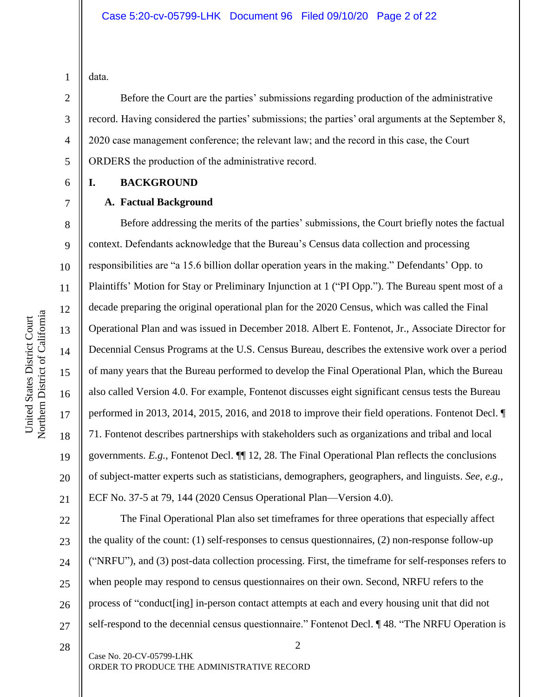data.

1

2

3

4

5

6

7

8

9

10

11

12

13

14

15

16

17

18

19

20

21

22

23

24

25

26

27

Before the Court are the parties' submissions regarding production of the administrative record. Having considered the parties' submissions; the parties' oral arguments at the September 8, 2020 case management conference; the relevant law; and the record in this case, the Court ORDERS the production of the administrative record.

#### **I. BACKGROUND**

#### **A. Factual Background**

Before addressing the merits of the parties' submissions, the Court briefly notes the factual context. Defendants acknowledge that the Bureau's Census data collection and processing responsibilities are "a 15.6 billion dollar operation years in the making." Defendants' Opp. to Plaintiffs' Motion for Stay or Preliminary Injunction at 1 ("PI Opp."). The Bureau spent most of a decade preparing the original operational plan for the 2020 Census, which was called the Final Operational Plan and was issued in December 2018. Albert E. Fontenot, Jr., Associate Director for Decennial Census Programs at the U.S. Census Bureau, describes the extensive work over a period of many years that the Bureau performed to develop the Final Operational Plan, which the Bureau also called Version 4.0. For example, Fontenot discusses eight significant census tests the Bureau performed in 2013, 2014, 2015, 2016, and 2018 to improve their field operations. Fontenot Decl. ¶ 71. Fontenot describes partnerships with stakeholders such as organizations and tribal and local governments. *E.g.*, Fontenot Decl. ¶¶ 12, 28. The Final Operational Plan reflects the conclusions of subject-matter experts such as statisticians, demographers, geographers, and linguists. *See, e.g.*, ECF No. 37-5 at 79, 144 (2020 Census Operational Plan—Version 4.0).

The Final Operational Plan also set timeframes for three operations that especially affect the quality of the count: (1) self-responses to census questionnaires, (2) non-response follow-up ("NRFU"), and (3) post-data collection processing. First, the timeframe for self-responses refers to when people may respond to census questionnaires on their own. Second, NRFU refers to the process of "conduct[ing] in-person contact attempts at each and every housing unit that did not self-respond to the decennial census questionnaire." Fontenot Decl. ¶48. "The NRFU Operation is

2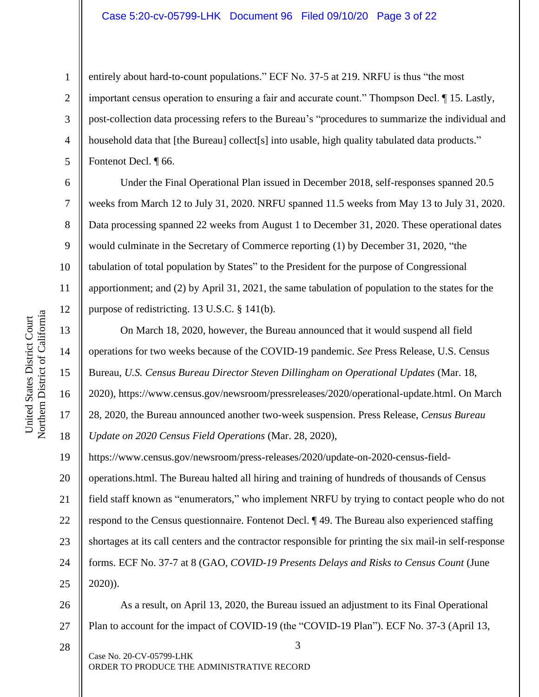#### Case 5:20-cv-05799-LHK Document 96 Filed 09/10/20 Page 3 of 22

entirely about hard-to-count populations." ECF No. 37-5 at 219. NRFU is thus "the most important census operation to ensuring a fair and accurate count." Thompson Decl. ¶ 15. Lastly, post-collection data processing refers to the Bureau's "procedures to summarize the individual and household data that [the Bureau] collect[s] into usable, high quality tabulated data products." Fontenot Decl. ¶ 66.

Under the Final Operational Plan issued in December 2018, self-responses spanned 20.5 weeks from March 12 to July 31, 2020. NRFU spanned 11.5 weeks from May 13 to July 31, 2020. Data processing spanned 22 weeks from August 1 to December 31, 2020. These operational dates would culminate in the Secretary of Commerce reporting (1) by December 31, 2020, "the tabulation of total population by States" to the President for the purpose of Congressional apportionment; and (2) by April 31, 2021, the same tabulation of population to the states for the purpose of redistricting. 13 U.S.C. § 141(b).

13 14 15 16 17 18 19 20 21 22 23 24 25 26 On March 18, 2020, however, the Bureau announced that it would suspend all field operations for two weeks because of the COVID-19 pandemic. *See* Press Release, U.S. Census Bureau, *U.S. Census Bureau Director Steven Dillingham on Operational Updates* (Mar. 18, 2020), https://www.census.gov/newsroom/pressreleases/2020/operational-update.html. On March 28, 2020, the Bureau announced another two-week suspension. Press Release, *Census Bureau Update on 2020 Census Field Operations* (Mar. 28, 2020), https://www.census.gov/newsroom/press-releases/2020/update-on-2020-census-fieldoperations.html. The Bureau halted all hiring and training of hundreds of thousands of Census field staff known as "enumerators," who implement NRFU by trying to contact people who do not respond to the Census questionnaire. Fontenot Decl. ¶ 49. The Bureau also experienced staffing shortages at its call centers and the contractor responsible for printing the six mail-in self-response forms. ECF No. 37-7 at 8 (GAO, *COVID-19 Presents Delays and Risks to Census Count* (June 2020)). As a result, on April 13, 2020, the Bureau issued an adjustment to its Final Operational

27 Plan to account for the impact of COVID-19 (the "COVID-19 Plan"). ECF No. 37-3 (April 13,

3 Case No. 20-CV-05799-LHK ORDER TO PRODUCE THE ADMINISTRATIVE RECORD 28

1

2

3

4

5

6

7

8

9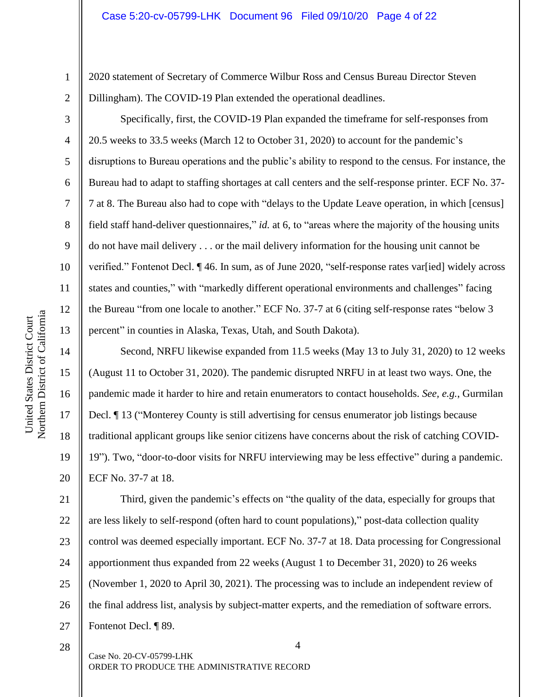2020 statement of Secretary of Commerce Wilbur Ross and Census Bureau Director Steven Dillingham). The COVID-19 Plan extended the operational deadlines.

Specifically, first, the COVID-19 Plan expanded the timeframe for self-responses from 20.5 weeks to 33.5 weeks (March 12 to October 31, 2020) to account for the pandemic's disruptions to Bureau operations and the public's ability to respond to the census. For instance, the Bureau had to adapt to staffing shortages at call centers and the self-response printer. ECF No. 37- 7 at 8. The Bureau also had to cope with "delays to the Update Leave operation, in which [census] field staff hand-deliver questionnaires," *id.* at 6, to "areas where the majority of the housing units do not have mail delivery . . . or the mail delivery information for the housing unit cannot be verified." Fontenot Decl. ¶ 46. In sum, as of June 2020, "self-response rates var[ied] widely across states and counties," with "markedly different operational environments and challenges" facing the Bureau "from one locale to another." ECF No. 37-7 at 6 (citing self-response rates "below 3 percent" in counties in Alaska, Texas, Utah, and South Dakota).

Second, NRFU likewise expanded from 11.5 weeks (May 13 to July 31, 2020) to 12 weeks (August 11 to October 31, 2020). The pandemic disrupted NRFU in at least two ways. One, the pandemic made it harder to hire and retain enumerators to contact households. *See, e.g.*, Gurmilan Decl. ¶ 13 ("Monterey County is still advertising for census enumerator job listings because traditional applicant groups like senior citizens have concerns about the risk of catching COVID-19"). Two, "door-to-door visits for NRFU interviewing may be less effective" during a pandemic. ECF No. 37-7 at 18.

21 22 23 24 25 26 27 Third, given the pandemic's effects on "the quality of the data, especially for groups that are less likely to self-respond (often hard to count populations)," post-data collection quality control was deemed especially important. ECF No. 37-7 at 18. Data processing for Congressional apportionment thus expanded from 22 weeks (August 1 to December 31, 2020) to 26 weeks (November 1, 2020 to April 30, 2021). The processing was to include an independent review of the final address list, analysis by subject-matter experts, and the remediation of software errors. Fontenot Decl. ¶ 89.

1

2

3

4

5

6

7

8

9

10

11

12

13

14

15

16

17

18

19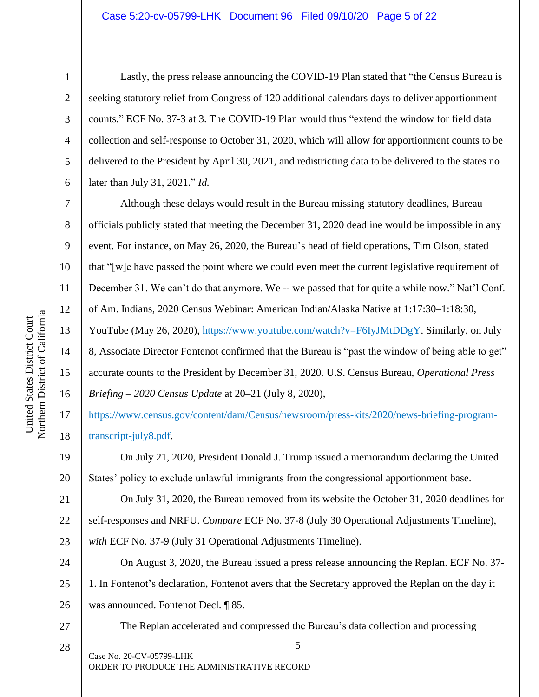#### Case 5:20-cv-05799-LHK Document 96 Filed 09/10/20 Page 5 of 22

1

2

3

4

5

6

7

8

9

10

11

12

13

14

15

United States District Court

United States District Court

16

19

20

Lastly, the press release announcing the COVID-19 Plan stated that "the Census Bureau is seeking statutory relief from Congress of 120 additional calendars days to deliver apportionment counts." ECF No. 37-3 at 3. The COVID-19 Plan would thus "extend the window for field data collection and self-response to October 31, 2020, which will allow for apportionment counts to be delivered to the President by April 30, 2021, and redistricting data to be delivered to the states no later than July 31, 2021." *Id.*

Although these delays would result in the Bureau missing statutory deadlines, Bureau officials publicly stated that meeting the December 31, 2020 deadline would be impossible in any event. For instance, on May 26, 2020, the Bureau's head of field operations, Tim Olson, stated that "[w]e have passed the point where we could even meet the current legislative requirement of December 31. We can't do that anymore. We -- we passed that for quite a while now." Nat'l Conf. of Am. Indians, 2020 Census Webinar: American Indian/Alaska Native at 1:17:30–1:18:30, YouTube (May 26, 2020), https://www.youtube.com/watch?v=F6IyJMtDDgY. Similarly, on July 8, Associate Director Fontenot confirmed that the Bureau is "past the window of being able to get" accurate counts to the President by December 31, 2020. U.S. Census Bureau, *Operational Press Briefing – 2020 Census Update* at 20–21 (July 8, 2020),

17 18 https://www.census.gov/content/dam/Census/newsroom/press-kits/2020/news-briefing-programtranscript-july8.pdf.

On July 21, 2020, President Donald J. Trump issued a memorandum declaring the United States' policy to exclude unlawful immigrants from the congressional apportionment base.

21 22 23 On July 31, 2020, the Bureau removed from its website the October 31, 2020 deadlines for self-responses and NRFU. *Compare* ECF No. 37-8 (July 30 Operational Adjustments Timeline), *with* ECF No. 37-9 (July 31 Operational Adjustments Timeline).

24 25 26 On August 3, 2020, the Bureau issued a press release announcing the Replan. ECF No. 37- 1. In Fontenot's declaration, Fontenot avers that the Secretary approved the Replan on the day it was announced. Fontenot Decl. ¶ 85.

# 27 28

The Replan accelerated and compressed the Bureau's data collection and processing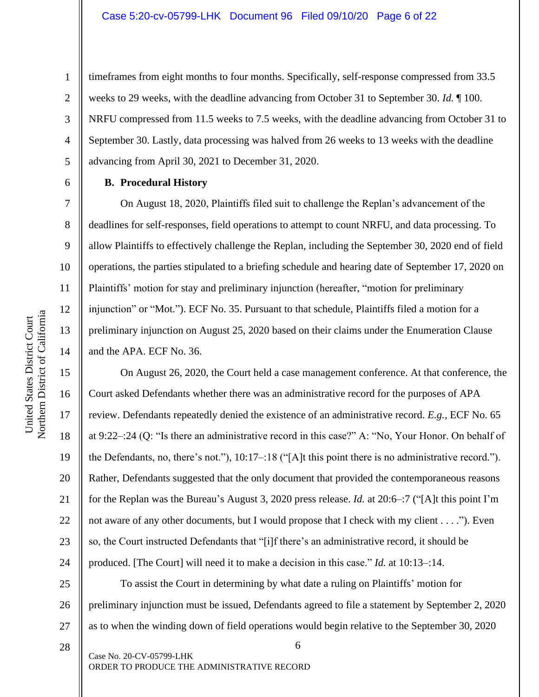timeframes from eight months to four months. Specifically, self-response compressed from 33.5 weeks to 29 weeks, with the deadline advancing from October 31 to September 30. *Id.* ¶ 100. NRFU compressed from 11.5 weeks to 7.5 weeks, with the deadline advancing from October 31 to September 30. Lastly, data processing was halved from 26 weeks to 13 weeks with the deadline advancing from April 30, 2021 to December 31, 2020.

#### **B. Procedural History**

On August 18, 2020, Plaintiffs filed suit to challenge the Replan's advancement of the deadlines for self-responses, field operations to attempt to count NRFU, and data processing. To allow Plaintiffs to effectively challenge the Replan, including the September 30, 2020 end of field operations, the parties stipulated to a briefing schedule and hearing date of September 17, 2020 on Plaintiffs' motion for stay and preliminary injunction (hereafter, "motion for preliminary injunction" or "Mot."). ECF No. 35. Pursuant to that schedule, Plaintiffs filed a motion for a preliminary injunction on August 25, 2020 based on their claims under the Enumeration Clause and the APA. ECF No. 36.

On August 26, 2020, the Court held a case management conference. At that conference, the Court asked Defendants whether there was an administrative record for the purposes of APA review. Defendants repeatedly denied the existence of an administrative record. *E.g.*, ECF No. 65 at 9:22–:24 (Q: "Is there an administrative record in this case?" A: "No, Your Honor. On behalf of the Defendants, no, there's not."), 10:17–:18 ("[A]t this point there is no administrative record."). Rather, Defendants suggested that the only document that provided the contemporaneous reasons for the Replan was the Bureau's August 3, 2020 press release. *Id.* at 20:6–:7 ("[A]t this point I'm not aware of any other documents, but I would propose that I check with my client . . . ."). Even so, the Court instructed Defendants that "[i]f there's an administrative record, it should be produced. [The Court] will need it to make a decision in this case." *Id.* at 10:13–:14.

25 26 To assist the Court in determining by what date a ruling on Plaintiffs' motion for preliminary injunction must be issued, Defendants agreed to file a statement by September 2, 2020 as to when the winding down of field operations would begin relative to the September 30, 2020

6 Case No. 20-CV-05799-LHK ORDER TO PRODUCE THE ADMINISTRATIVE RECORD

1

2

3

4

5

6

7

8

9

10

11

12

13

14

15

16

17

18

19

20

21

22

23

24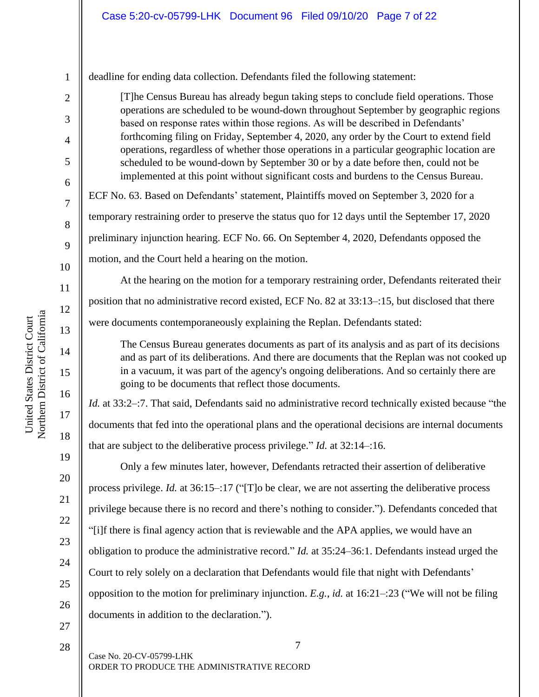deadline for ending data collection. Defendants filed the following statement:

[T]he Census Bureau has already begun taking steps to conclude field operations. Those operations are scheduled to be wound-down throughout September by geographic regions based on response rates within those regions. As will be described in Defendants' forthcoming filing on Friday, September 4, 2020, any order by the Court to extend field operations, regardless of whether those operations in a particular geographic location are scheduled to be wound-down by September 30 or by a date before then, could not be implemented at this point without significant costs and burdens to the Census Bureau.

ECF No. 63. Based on Defendants' statement, Plaintiffs moved on September 3, 2020 for a temporary restraining order to preserve the status quo for 12 days until the September 17, 2020 preliminary injunction hearing. ECF No. 66. On September 4, 2020, Defendants opposed the

motion, and the Court held a hearing on the motion.

At the hearing on the motion for a temporary restraining order, Defendants reiterated their position that no administrative record existed, ECF No. 82 at 33:13–:15, but disclosed that there were documents contemporaneously explaining the Replan. Defendants stated:

The Census Bureau generates documents as part of its analysis and as part of its decisions and as part of its deliberations. And there are documents that the Replan was not cooked up in a vacuum, it was part of the agency's ongoing deliberations. And so certainly there are going to be documents that reflect those documents.

*Id.* at 33:2–:7. That said, Defendants said no administrative record technically existed because "the documents that fed into the operational plans and the operational decisions are internal documents that are subject to the deliberative process privilege." *Id.* at 32:14–:16.

Only a few minutes later, however, Defendants retracted their assertion of deliberative process privilege. *Id.* at 36:15–:17 ("[T]o be clear, we are not asserting the deliberative process privilege because there is no record and there's nothing to consider."). Defendants conceded that "[i]f there is final agency action that is reviewable and the APA applies, we would have an obligation to produce the administrative record." *Id.* at 35:24–36:1. Defendants instead urged the Court to rely solely on a declaration that Defendants would file that night with Defendants' opposition to the motion for preliminary injunction. *E.g.*, *id.* at 16:21–:23 ("We will not be filing documents in addition to the declaration.").

7 Case No. 20-CV-05799-LHK ORDER TO PRODUCE THE ADMINISTRATIVE RECORD

1

2

3

4

5

6

7

8

9

10

11

12

13

14

15

16

17

18

19

20

21

22

23

24

25

26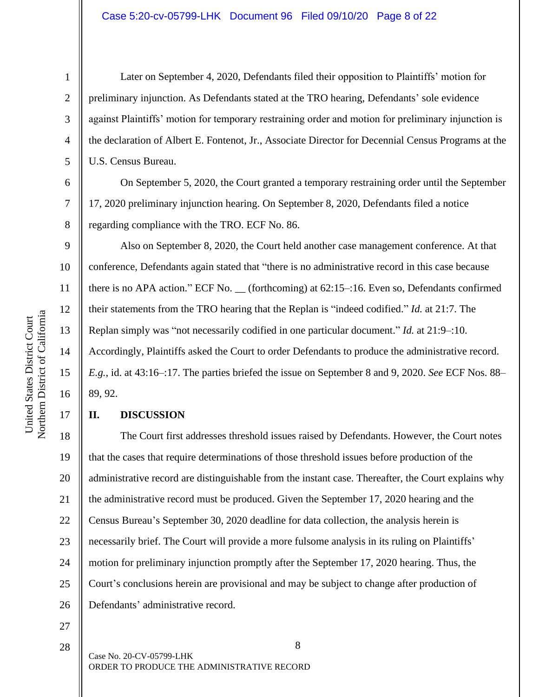United States District Court

United States District Court

1

2

3

4

5

6

7

8

9

17

Later on September 4, 2020, Defendants filed their opposition to Plaintiffs' motion for preliminary injunction. As Defendants stated at the TRO hearing, Defendants' sole evidence against Plaintiffs' motion for temporary restraining order and motion for preliminary injunction is the declaration of Albert E. Fontenot, Jr., Associate Director for Decennial Census Programs at the U.S. Census Bureau.

On September 5, 2020, the Court granted a temporary restraining order until the September 17, 2020 preliminary injunction hearing. On September 8, 2020, Defendants filed a notice regarding compliance with the TRO. ECF No. 86.

Also on September 8, 2020, the Court held another case management conference. At that conference, Defendants again stated that "there is no administrative record in this case because there is no APA action." ECF No. \_\_ (forthcoming) at 62:15–:16. Even so, Defendants confirmed their statements from the TRO hearing that the Replan is "indeed codified." *Id.* at 21:7. The Replan simply was "not necessarily codified in one particular document." *Id.* at 21:9–:10. Accordingly, Plaintiffs asked the Court to order Defendants to produce the administrative record. *E.g.*, id. at 43:16–:17. The parties briefed the issue on September 8 and 9, 2020. *See* ECF Nos. 88– 89, 92.

## **II. DISCUSSION**

18 19 20 21 22 23 24 25 26 The Court first addresses threshold issues raised by Defendants. However, the Court notes that the cases that require determinations of those threshold issues before production of the administrative record are distinguishable from the instant case. Thereafter, the Court explains why the administrative record must be produced. Given the September 17, 2020 hearing and the Census Bureau's September 30, 2020 deadline for data collection, the analysis herein is necessarily brief. The Court will provide a more fulsome analysis in its ruling on Plaintiffs' motion for preliminary injunction promptly after the September 17, 2020 hearing. Thus, the Court's conclusions herein are provisional and may be subject to change after production of Defendants' administrative record.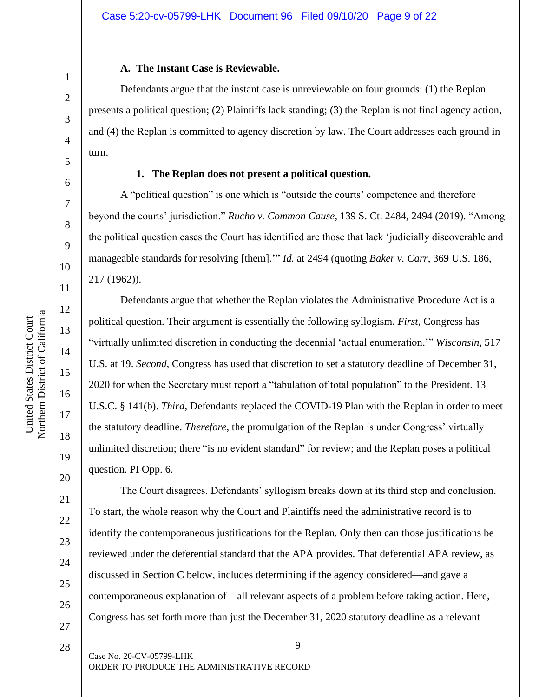# **A. The Instant Case is Reviewable.**

Defendants argue that the instant case is unreviewable on four grounds: (1) the Replan presents a political question; (2) Plaintiffs lack standing; (3) the Replan is not final agency action, and (4) the Replan is committed to agency discretion by law. The Court addresses each ground in turn.

## **1. The Replan does not present a political question.**

A "political question" is one which is "outside the courts' competence and therefore beyond the courts' jurisdiction." *Rucho v. Common Cause*, 139 S. Ct. 2484, 2494 (2019). "Among the political question cases the Court has identified are those that lack 'judicially discoverable and manageable standards for resolving [them].'" *Id.* at 2494 (quoting *Baker v. Carr*, 369 U.S. 186, 217 (1962)).

Defendants argue that whether the Replan violates the Administrative Procedure Act is a political question. Their argument is essentially the following syllogism. *First*, Congress has "virtually unlimited discretion in conducting the decennial 'actual enumeration.'" *Wisconsin*, 517 U.S. at 19. *Second*, Congress has used that discretion to set a statutory deadline of December 31, 2020 for when the Secretary must report a "tabulation of total population" to the President. 13 U.S.C. § 141(b). *Third*, Defendants replaced the COVID-19 Plan with the Replan in order to meet the statutory deadline. *Therefore*, the promulgation of the Replan is under Congress' virtually unlimited discretion; there "is no evident standard" for review; and the Replan poses a political question. PI Opp. 6.

The Court disagrees. Defendants' syllogism breaks down at its third step and conclusion. To start, the whole reason why the Court and Plaintiffs need the administrative record is to identify the contemporaneous justifications for the Replan. Only then can those justifications be reviewed under the deferential standard that the APA provides. That deferential APA review, as discussed in Section C below, includes determining if the agency considered—and gave a contemporaneous explanation of—all relevant aspects of a problem before taking action. Here, Congress has set forth more than just the December 31, 2020 statutory deadline as a relevant

9 Case No. 20-CV-05799-LHK ORDER TO PRODUCE THE ADMINISTRATIVE RECORD

1

2

3

4

5

6

7

8

9

10

11

12

13

14

15

16

17

18

19

20

21

22

23

24

25

26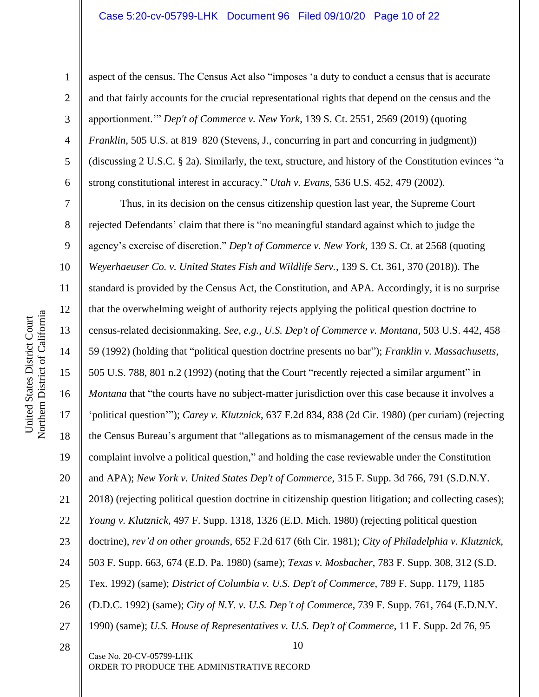#### Case 5:20-cv-05799-LHK Document 96 Filed 09/10/20 Page 10 of 22

1 2 3 4 5 6 aspect of the census. The Census Act also "imposes 'a duty to conduct a census that is accurate and that fairly accounts for the crucial representational rights that depend on the census and the apportionment.'" *Dep't of Commerce v. New York*, 139 S. Ct. 2551, 2569 (2019) (quoting *Franklin*, 505 U.S. at 819–820 (Stevens, J., concurring in part and concurring in judgment)) (discussing 2 U.S.C. § 2a). Similarly, the text, structure, and history of the Constitution evinces "a strong constitutional interest in accuracy." *Utah v. Evans*, 536 U.S. 452, 479 (2002).

10 7 8 9 10 11 12 13 14 15 16 17 18 19 20 21 22 23 24 25 26 27 28 Thus, in its decision on the census citizenship question last year, the Supreme Court rejected Defendants' claim that there is "no meaningful standard against which to judge the agency's exercise of discretion." *Dep't of Commerce v. New York*, 139 S. Ct. at 2568 (quoting *Weyerhaeuser Co. v. United States Fish and Wildlife Serv.*, 139 S. Ct. 361, 370 (2018)). The standard is provided by the Census Act, the Constitution, and APA. Accordingly, it is no surprise that the overwhelming weight of authority rejects applying the political question doctrine to census-related decisionmaking. *See, e.g., U.S. Dep't of Commerce v. Montana*, 503 U.S. 442, 458– 59 (1992) (holding that "political question doctrine presents no bar"); *Franklin v. Massachusetts*, 505 U.S. 788, 801 n.2 (1992) (noting that the Court "recently rejected a similar argument" in *Montana* that "the courts have no subject-matter jurisdiction over this case because it involves a 'political question'"); *Carey v. Klutznick*, 637 F.2d 834, 838 (2d Cir. 1980) (per curiam) (rejecting the Census Bureau's argument that "allegations as to mismanagement of the census made in the complaint involve a political question," and holding the case reviewable under the Constitution and APA); *New York v. United States Dep't of Commerce*, 315 F. Supp. 3d 766, 791 (S.D.N.Y. 2018) (rejecting political question doctrine in citizenship question litigation; and collecting cases); *Young v. Klutznick*, 497 F. Supp. 1318, 1326 (E.D. Mich. 1980) (rejecting political question doctrine), *rev'd on other grounds*, 652 F.2d 617 (6th Cir. 1981); *City of Philadelphia v. Klutznick*, 503 F. Supp. 663, 674 (E.D. Pa. 1980) (same); *Texas v. Mosbacher*, 783 F. Supp. 308, 312 (S.D. Tex. 1992) (same); *District of Columbia v. U.S. Dep't of Commerce*, 789 F. Supp. 1179, 1185 (D.D.C. 1992) (same); *City of N.Y. v. U.S. Dep't of Commerce*, 739 F. Supp. 761, 764 (E.D.N.Y. 1990) (same); *U.S. House of Representatives v. U.S. Dep't of Commerce*, 11 F. Supp. 2d 76, 95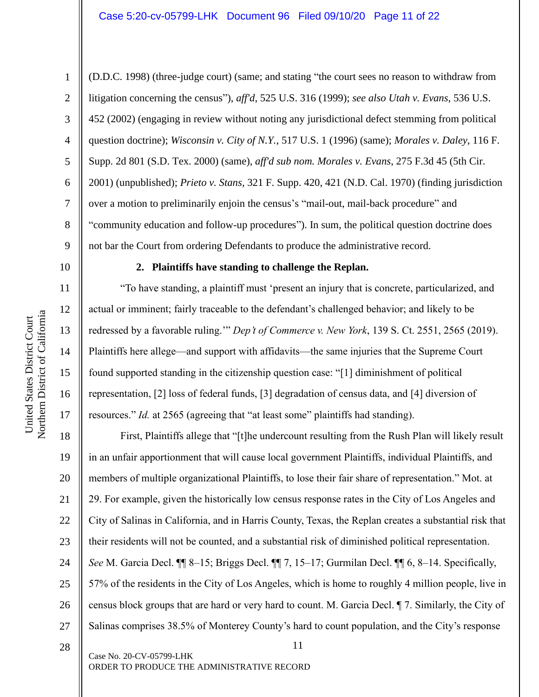1

2

3

4

5

6

7

8

9

10

11

12

13

14

15

16

17

(D.D.C. 1998) (three-judge court) (same; and stating "the court sees no reason to withdraw from litigation concerning the census"), *aff'd*, 525 U.S. 316 (1999); *see also Utah v. Evans*, 536 U.S. 452 (2002) (engaging in review without noting any jurisdictional defect stemming from political question doctrine); *Wisconsin v. City of N.Y.*, 517 U.S. 1 (1996) (same); *Morales v. Daley*, 116 F. Supp. 2d 801 (S.D. Tex. 2000) (same), *aff'd sub nom. Morales v. Evans*, 275 F.3d 45 (5th Cir. 2001) (unpublished); *Prieto v. Stans*, 321 F. Supp. 420, 421 (N.D. Cal. 1970) (finding jurisdiction over a motion to preliminarily enjoin the census's "mail-out, mail-back procedure" and "community education and follow-up procedures"). In sum, the political question doctrine does not bar the Court from ordering Defendants to produce the administrative record.

#### **2. Plaintiffs have standing to challenge the Replan.**

"To have standing, a plaintiff must 'present an injury that is concrete, particularized, and actual or imminent; fairly traceable to the defendant's challenged behavior; and likely to be redressed by a favorable ruling.'" *Dep't of Commerce v. New York*, 139 S. Ct. 2551, 2565 (2019). Plaintiffs here allege—and support with affidavits—the same injuries that the Supreme Court found supported standing in the citizenship question case: "[1] diminishment of political representation, [2] loss of federal funds, [3] degradation of census data, and [4] diversion of resources." *Id.* at 2565 (agreeing that "at least some" plaintiffs had standing).

18 19 20 21 22 23 24 25 26 27 First, Plaintiffs allege that "[t]he undercount resulting from the Rush Plan will likely result in an unfair apportionment that will cause local government Plaintiffs, individual Plaintiffs, and members of multiple organizational Plaintiffs, to lose their fair share of representation." Mot. at 29. For example, given the historically low census response rates in the City of Los Angeles and City of Salinas in California, and in Harris County, Texas, the Replan creates a substantial risk that their residents will not be counted, and a substantial risk of diminished political representation. *See* M. Garcia Decl. ¶¶ 8–15; Briggs Decl. ¶¶ 7, 15–17; Gurmilan Decl. ¶¶ 6, 8–14. Specifically, 57% of the residents in the City of Los Angeles, which is home to roughly 4 million people, live in census block groups that are hard or very hard to count. M. Garcia Decl. ¶ 7. Similarly, the City of Salinas comprises 38.5% of Monterey County's hard to count population, and the City's response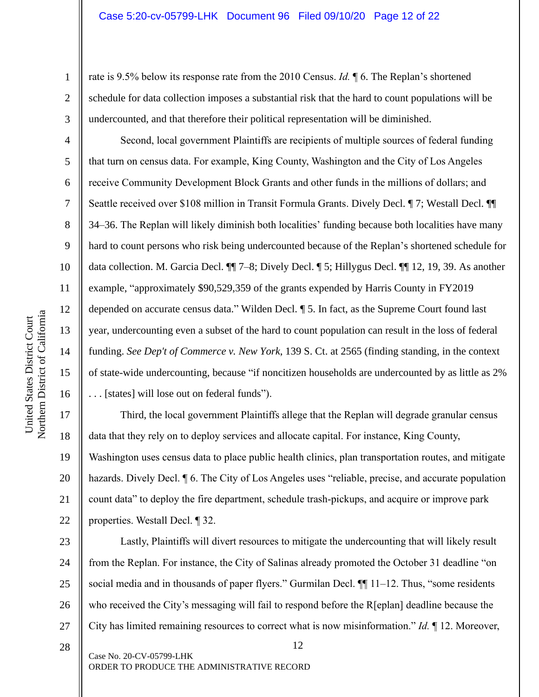rate is 9.5% below its response rate from the 2010 Census. *Id.* ¶ 6. The Replan's shortened schedule for data collection imposes a substantial risk that the hard to count populations will be undercounted, and that therefore their political representation will be diminished.

Second, local government Plaintiffs are recipients of multiple sources of federal funding that turn on census data. For example, King County, Washington and the City of Los Angeles receive Community Development Block Grants and other funds in the millions of dollars; and Seattle received over \$108 million in Transit Formula Grants. Dively Decl.  $\P$  7; Westall Decl.  $\P$ 34–36. The Replan will likely diminish both localities' funding because both localities have many hard to count persons who risk being undercounted because of the Replan's shortened schedule for data collection. M. Garcia Decl. ¶¶ 7–8; Dively Decl. ¶ 5; Hillygus Decl. ¶¶ 12, 19, 39. As another example, "approximately \$90,529,359 of the grants expended by Harris County in FY2019 depended on accurate census data." Wilden Decl. ¶ 5. In fact, as the Supreme Court found last year, undercounting even a subset of the hard to count population can result in the loss of federal funding. *See Dep't of Commerce v. New York*, 139 S. Ct. at 2565 (finding standing, in the context of state-wide undercounting, because "if noncitizen households are undercounted by as little as 2% . . . [states] will lose out on federal funds").

Third, the local government Plaintiffs allege that the Replan will degrade granular census data that they rely on to deploy services and allocate capital. For instance, King County, Washington uses census data to place public health clinics, plan transportation routes, and mitigate hazards. Dively Decl.  $\parallel$  6. The City of Los Angeles uses "reliable, precise, and accurate population count data" to deploy the fire department, schedule trash-pickups, and acquire or improve park properties. Westall Decl. ¶ 32.

23 24 25 26 27 Lastly, Plaintiffs will divert resources to mitigate the undercounting that will likely result from the Replan. For instance, the City of Salinas already promoted the October 31 deadline "on social media and in thousands of paper flyers." Gurmilan Decl. ¶¶ 11–12. Thus, "some residents who received the City's messaging will fail to respond before the R[eplan] deadline because the City has limited remaining resources to correct what is now misinformation." *Id.* ¶ 12. Moreover,

12 Case No. 20-CV-05799-LHK ORDER TO PRODUCE THE ADMINISTRATIVE RECORD 28

1

2

3

4

5

6

7

8

9

10

11

12

13

14

15

16

17

18

19

20

21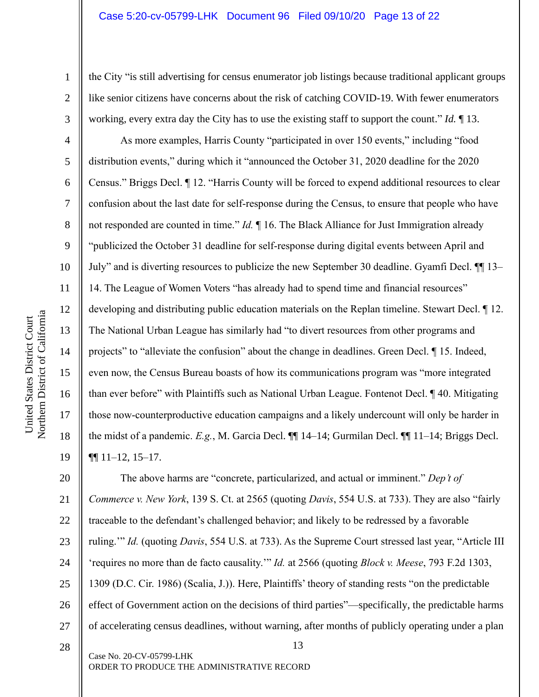the City "is still advertising for census enumerator job listings because traditional applicant groups like senior citizens have concerns about the risk of catching COVID-19. With fewer enumerators working, every extra day the City has to use the existing staff to support the count." *Id.* ¶ 13.

As more examples, Harris County "participated in over 150 events," including "food distribution events," during which it "announced the October 31, 2020 deadline for the 2020 Census." Briggs Decl. ¶ 12. "Harris County will be forced to expend additional resources to clear confusion about the last date for self-response during the Census, to ensure that people who have not responded are counted in time." *Id.* ¶ 16. The Black Alliance for Just Immigration already "publicized the October 31 deadline for self-response during digital events between April and July" and is diverting resources to publicize the new September 30 deadline. Gyamfi Decl. ¶¶ 13– 14. The League of Women Voters "has already had to spend time and financial resources" developing and distributing public education materials on the Replan timeline. Stewart Decl. ¶ 12. The National Urban League has similarly had "to divert resources from other programs and projects" to "alleviate the confusion" about the change in deadlines. Green Decl. ¶ 15. Indeed, even now, the Census Bureau boasts of how its communications program was "more integrated than ever before" with Plaintiffs such as National Urban League. Fontenot Decl. ¶ 40. Mitigating those now-counterproductive education campaigns and a likely undercount will only be harder in the midst of a pandemic. *E.g.*, M. Garcia Decl. ¶¶ 14–14; Gurmilan Decl. ¶¶ 11–14; Briggs Decl. ¶¶ 11–12, 15–17.

20 21 22 23 24 25 26 27 The above harms are "concrete, particularized, and actual or imminent." *Dep't of Commerce v. New York*, 139 S. Ct. at 2565 (quoting *Davis*, 554 U.S. at 733). They are also "fairly traceable to the defendant's challenged behavior; and likely to be redressed by a favorable ruling.'" *Id.* (quoting *Davis*, 554 U.S. at 733). As the Supreme Court stressed last year, "Article III 'requires no more than de facto causality.'" *Id.* at 2566 (quoting *Block v. Meese*, 793 F.2d 1303, 1309 (D.C. Cir. 1986) (Scalia, J.)). Here, Plaintiffs' theory of standing rests "on the predictable effect of Government action on the decisions of third parties"—specifically, the predictable harms of accelerating census deadlines, without warning, after months of publicly operating under a plan

13 Case No. 20-CV-05799-LHK ORDER TO PRODUCE THE ADMINISTRATIVE RECORD

1

2

3

4

5

6

7

8

9

10

11

12

13

14

15

16

17

18

19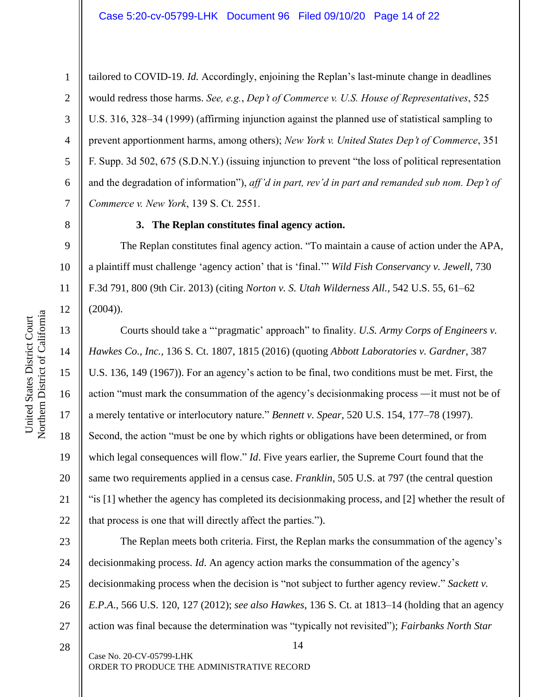6 tailored to COVID-19. *Id.* Accordingly, enjoining the Replan's last-minute change in deadlines would redress those harms. *See, e.g.*, *Dep't of Commerce v. U.S. House of Representatives*, 525 U.S. 316, 328–34 (1999) (affirming injunction against the planned use of statistical sampling to prevent apportionment harms, among others); *New York v. United States Dep't of Commerce*, 351 F. Supp. 3d 502, 675 (S.D.N.Y.) (issuing injunction to prevent "the loss of political representation and the degradation of information"), *aff'd in part, rev'd in part and remanded sub nom. Dep't of Commerce v. New York*, 139 S. Ct. 2551.

8

1

2

3

4

5

7

9

10

11

12

13

14

15

17

18

19

21

# **3. The Replan constitutes final agency action.**

The Replan constitutes final agency action. "To maintain a cause of action under the APA, a plaintiff must challenge 'agency action' that is 'final.'" *Wild Fish Conservancy v. Jewell*, 730 F.3d 791, 800 (9th Cir. 2013) (citing *Norton v. S. Utah Wilderness All.*, 542 U.S. 55, 61–62  $(2004)$ ).

16 20 22 Courts should take a "'pragmatic' approach" to finality. *U.S. Army Corps of Engineers v. Hawkes Co., Inc.,* 136 S. Ct. 1807, 1815 (2016) (quoting *Abbott Laboratories v. Gardner*, 387 U.S. 136, 149 (1967)). For an agency's action to be final, two conditions must be met. First, the action "must mark the consummation of the agency's decisionmaking process —it must not be of a merely tentative or interlocutory nature." *Bennett v. Spear*, 520 U.S. 154, 177–78 (1997). Second, the action "must be one by which rights or obligations have been determined, or from which legal consequences will flow." *Id*. Five years earlier, the Supreme Court found that the same two requirements applied in a census case. *Franklin*, 505 U.S. at 797 (the central question "is [1] whether the agency has completed its decisionmaking process, and [2] whether the result of that process is one that will directly affect the parties.").

23 24 25 26 27 The Replan meets both criteria. First, the Replan marks the consummation of the agency's decisionmaking process. *Id*. An agency action marks the consummation of the agency's decisionmaking process when the decision is "not subject to further agency review." *Sackett v. E.P.A*., 566 U.S. 120, 127 (2012); *see also Hawkes*, 136 S. Ct. at 1813–14 (holding that an agency action was final because the determination was "typically not revisited"); *Fairbanks North Star*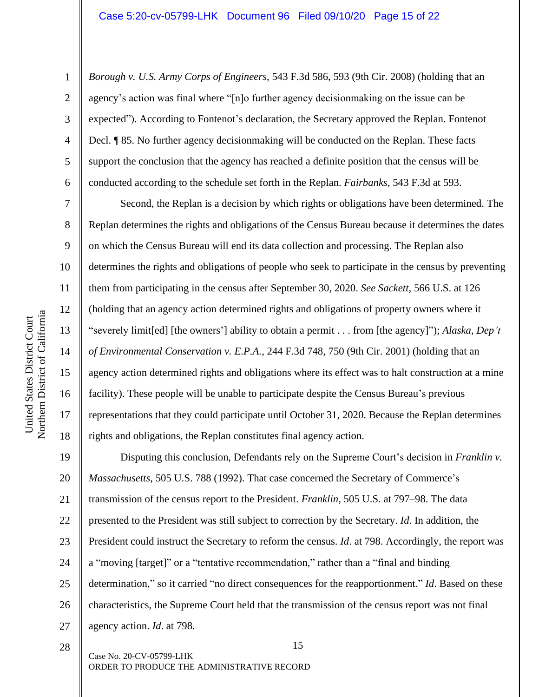*Borough v. U.S. Army Corps of Engineers*, 543 F.3d 586, 593 (9th Cir. 2008) (holding that an agency's action was final where "[n]o further agency decisionmaking on the issue can be expected"). According to Fontenot's declaration, the Secretary approved the Replan. Fontenot Decl. ¶ 85. No further agency decisionmaking will be conducted on the Replan. These facts support the conclusion that the agency has reached a definite position that the census will be conducted according to the schedule set forth in the Replan. *Fairbanks*, 543 F.3d at 593.

Second, the Replan is a decision by which rights or obligations have been determined. The Replan determines the rights and obligations of the Census Bureau because it determines the dates on which the Census Bureau will end its data collection and processing. The Replan also determines the rights and obligations of people who seek to participate in the census by preventing them from participating in the census after September 30, 2020. *See Sackett*, 566 U.S. at 126 (holding that an agency action determined rights and obligations of property owners where it "severely limit[ed] [the owners'] ability to obtain a permit . . . from [the agency]"); *Alaska, Dep't of Environmental Conservation v. E.P.A.*, 244 F.3d 748, 750 (9th Cir. 2001) (holding that an agency action determined rights and obligations where its effect was to halt construction at a mine facility). These people will be unable to participate despite the Census Bureau's previous representations that they could participate until October 31, 2020. Because the Replan determines rights and obligations, the Replan constitutes final agency action.

19 20 21 22 23 24 25 26 27 Disputing this conclusion, Defendants rely on the Supreme Court's decision in *Franklin v. Massachusetts*, 505 U.S. 788 (1992). That case concerned the Secretary of Commerce's transmission of the census report to the President. *Franklin*, 505 U.S. at 797–98. The data presented to the President was still subject to correction by the Secretary. *Id*. In addition, the President could instruct the Secretary to reform the census. *Id*. at 798. Accordingly, the report was a "moving [target]" or a "tentative recommendation," rather than a "final and binding determination," so it carried "no direct consequences for the reapportionment." *Id*. Based on these characteristics, the Supreme Court held that the transmission of the census report was not final agency action. *Id*. at 798.

1

2

3

4

5

6

7

8

9

10

11

12

13

14

15

16

17

18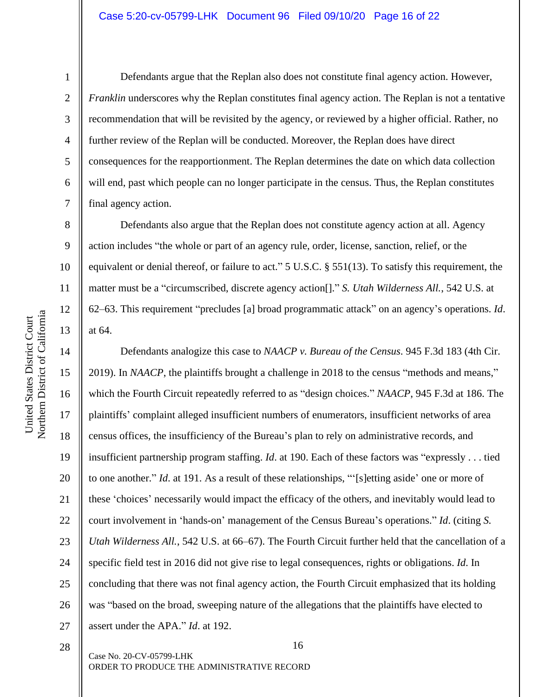United States District Court

United States District Court

1

2

3

4

5

6

7

8

9

10

11

12

13

Defendants argue that the Replan also does not constitute final agency action. However, *Franklin* underscores why the Replan constitutes final agency action. The Replan is not a tentative recommendation that will be revisited by the agency, or reviewed by a higher official. Rather, no further review of the Replan will be conducted. Moreover, the Replan does have direct consequences for the reapportionment. The Replan determines the date on which data collection will end, past which people can no longer participate in the census. Thus, the Replan constitutes final agency action.

Defendants also argue that the Replan does not constitute agency action at all. Agency action includes "the whole or part of an agency rule, order, license, sanction, relief, or the equivalent or denial thereof, or failure to act." 5 U.S.C. § 551(13). To satisfy this requirement, the matter must be a "circumscribed, discrete agency action[]." *S. Utah Wilderness All.*, 542 U.S. at 62–63. This requirement "precludes [a] broad programmatic attack" on an agency's operations. *Id*. at 64.

14 15 16 17 18 19 20 21 22 23 24 25 26 27 Defendants analogize this case to *NAACP v. Bureau of the Census*. 945 F.3d 183 (4th Cir. 2019). In *NAACP*, the plaintiffs brought a challenge in 2018 to the census "methods and means," which the Fourth Circuit repeatedly referred to as "design choices." *NAACP*, 945 F.3d at 186. The plaintiffs' complaint alleged insufficient numbers of enumerators, insufficient networks of area census offices, the insufficiency of the Bureau's plan to rely on administrative records, and insufficient partnership program staffing. *Id*. at 190. Each of these factors was "expressly . . . tied to one another." *Id*. at 191. As a result of these relationships, "'[s]etting aside' one or more of these 'choices' necessarily would impact the efficacy of the others, and inevitably would lead to court involvement in 'hands-on' management of the Census Bureau's operations." *Id*. (citing *S. Utah Wilderness All.*, 542 U.S. at 66–67). The Fourth Circuit further held that the cancellation of a specific field test in 2016 did not give rise to legal consequences, rights or obligations. *Id*. In concluding that there was not final agency action, the Fourth Circuit emphasized that its holding was "based on the broad, sweeping nature of the allegations that the plaintiffs have elected to assert under the APA." *Id*. at 192.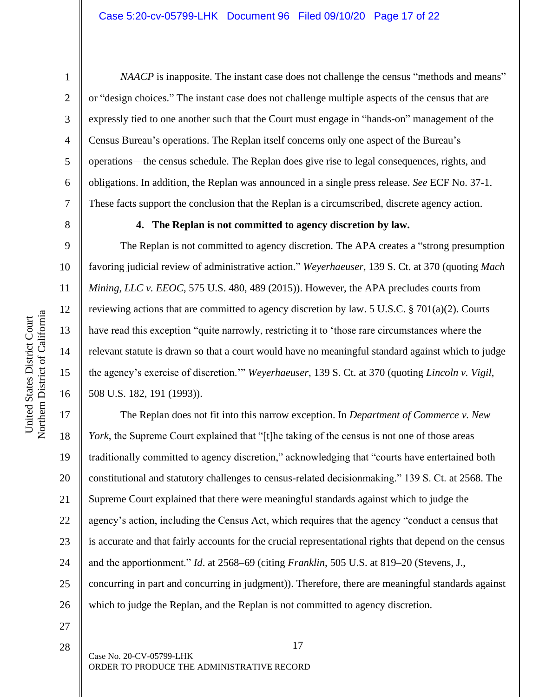16

United States District Court Northern District of California

Northern District of California United States District Court

1

*NAACP* is inapposite. The instant case does not challenge the census "methods and means" or "design choices." The instant case does not challenge multiple aspects of the census that are expressly tied to one another such that the Court must engage in "hands-on" management of the Census Bureau's operations. The Replan itself concerns only one aspect of the Bureau's operations—the census schedule. The Replan does give rise to legal consequences, rights, and obligations. In addition, the Replan was announced in a single press release. *See* ECF No. 37-1. These facts support the conclusion that the Replan is a circumscribed, discrete agency action.

#### **4. The Replan is not committed to agency discretion by law.**

The Replan is not committed to agency discretion. The APA creates a "strong presumption favoring judicial review of administrative action." *Weyerhaeuser*, 139 S. Ct. at 370 (quoting *Mach Mining, LLC v. EEOC*, 575 U.S. 480, 489 (2015)). However, the APA precludes courts from reviewing actions that are committed to agency discretion by law. 5 U.S.C. § 701(a)(2). Courts have read this exception "quite narrowly, restricting it to 'those rare circumstances where the relevant statute is drawn so that a court would have no meaningful standard against which to judge the agency's exercise of discretion.'" *Weyerhaeuser*, 139 S. Ct. at 370 (quoting *Lincoln v. Vigil*, 508 U.S. 182, 191 (1993)).

17 18 19 20 21 22 23 24 25 26 The Replan does not fit into this narrow exception. In *Department of Commerce v. New York*, the Supreme Court explained that "[t]he taking of the census is not one of those areas traditionally committed to agency discretion," acknowledging that "courts have entertained both constitutional and statutory challenges to census-related decisionmaking." 139 S. Ct. at 2568. The Supreme Court explained that there were meaningful standards against which to judge the agency's action, including the Census Act, which requires that the agency "conduct a census that is accurate and that fairly accounts for the crucial representational rights that depend on the census and the apportionment." *Id*. at 2568–69 (citing *Franklin*, 505 U.S. at 819–20 (Stevens, J., concurring in part and concurring in judgment)). Therefore, there are meaningful standards against which to judge the Replan, and the Replan is not committed to agency discretion.

28

27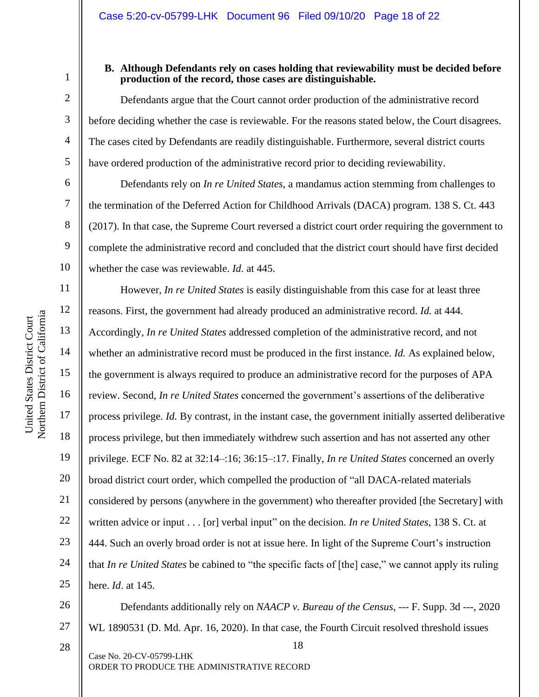7

8

9

10

11

12

13

14

15

17

18

19

21

23

25

1

#### **B. Although Defendants rely on cases holding that reviewability must be decided before production of the record, those cases are distinguishable.**

Defendants argue that the Court cannot order production of the administrative record before deciding whether the case is reviewable. For the reasons stated below, the Court disagrees. The cases cited by Defendants are readily distinguishable. Furthermore, several district courts have ordered production of the administrative record prior to deciding reviewability.

Defendants rely on *In re United States*, a mandamus action stemming from challenges to the termination of the Deferred Action for Childhood Arrivals (DACA) program. 138 S. Ct. 443 (2017). In that case, the Supreme Court reversed a district court order requiring the government to complete the administrative record and concluded that the district court should have first decided whether the case was reviewable. *Id*. at 445.

16 20 22 24 However, *In re United States* is easily distinguishable from this case for at least three reasons. First, the government had already produced an administrative record. *Id.* at 444. Accordingly, *In re United States* addressed completion of the administrative record, and not whether an administrative record must be produced in the first instance. *Id.* As explained below, the government is always required to produce an administrative record for the purposes of APA review. Second, *In re United States* concerned the government's assertions of the deliberative process privilege. *Id.* By contrast, in the instant case, the government initially asserted deliberative process privilege, but then immediately withdrew such assertion and has not asserted any other privilege. ECF No. 82 at 32:14–:16; 36:15–:17. Finally, *In re United States* concerned an overly broad district court order, which compelled the production of "all DACA-related materials considered by persons (anywhere in the government) who thereafter provided [the Secretary] with written advice or input . . . [or] verbal input" on the decision. *In re United States*, 138 S. Ct. at 444. Such an overly broad order is not at issue here. In light of the Supreme Court's instruction that *In re United States* be cabined to "the specific facts of [the] case," we cannot apply its ruling here. *Id*. at 145.

26 27 Defendants additionally rely on *NAACP v. Bureau of the Census*, --- F. Supp. 3d ---, 2020 WL 1890531 (D. Md. Apr. 16, 2020). In that case, the Fourth Circuit resolved threshold issues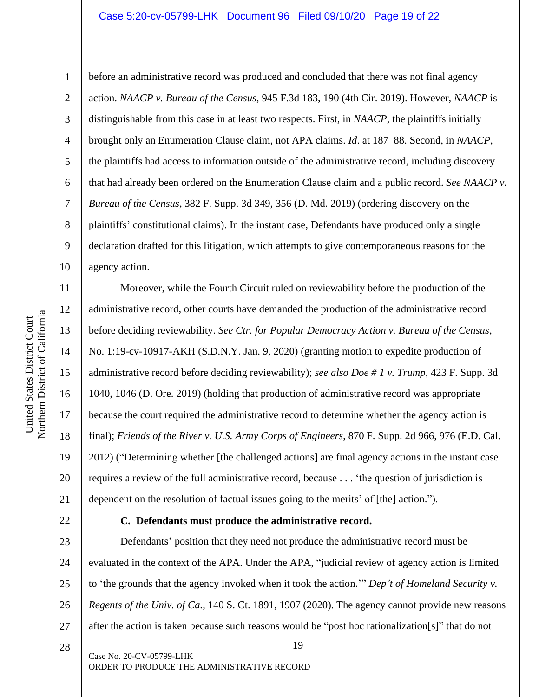#### Case 5:20-cv-05799-LHK Document 96 Filed 09/10/20 Page 19 of 22

Northern District of California Northern District of California 1

2

3

4

5

6

7

8

9

10

11

12

13

14

15

United States District Court

United States District Court

16

17

18

19

20

21

before an administrative record was produced and concluded that there was not final agency action. *NAACP v. Bureau of the Census*, 945 F.3d 183, 190 (4th Cir. 2019). However, *NAACP* is distinguishable from this case in at least two respects. First, in *NAACP*, the plaintiffs initially brought only an Enumeration Clause claim, not APA claims. *Id*. at 187–88. Second, in *NAACP*, the plaintiffs had access to information outside of the administrative record, including discovery that had already been ordered on the Enumeration Clause claim and a public record. *See NAACP v. Bureau of the Census*, 382 F. Supp. 3d 349, 356 (D. Md. 2019) (ordering discovery on the plaintiffs' constitutional claims). In the instant case, Defendants have produced only a single declaration drafted for this litigation, which attempts to give contemporaneous reasons for the agency action.

Moreover, while the Fourth Circuit ruled on reviewability before the production of the administrative record, other courts have demanded the production of the administrative record before deciding reviewability. *See Ctr. for Popular Democracy Action v. Bureau of the Census*, No. 1:19-cv-10917-AKH (S.D.N.Y. Jan. 9, 2020) (granting motion to expedite production of administrative record before deciding reviewability); *see also Doe # 1 v. Trump,* 423 F. Supp. 3d 1040, 1046 (D. Ore. 2019) (holding that production of administrative record was appropriate because the court required the administrative record to determine whether the agency action is final); *Friends of the River v. U.S. Army Corps of Engineers*, 870 F. Supp. 2d 966, 976 (E.D. Cal. 2012) ("Determining whether [the challenged actions] are final agency actions in the instant case requires a review of the full administrative record, because . . . 'the question of jurisdiction is dependent on the resolution of factual issues going to the merits' of [the] action.").

22 23

# **C. Defendants must produce the administrative record.**

24 25 26 27 Defendants' position that they need not produce the administrative record must be evaluated in the context of the APA. Under the APA, "judicial review of agency action is limited to 'the grounds that the agency invoked when it took the action.'" *Dep't of Homeland Security v. Regents of the Univ. of Ca.*, 140 S. Ct. 1891, 1907 (2020). The agency cannot provide new reasons after the action is taken because such reasons would be "post hoc rationalization[s]" that do not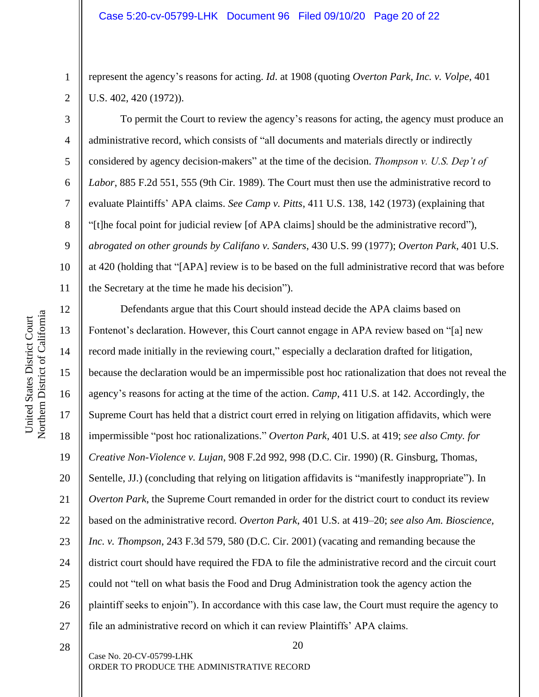represent the agency's reasons for acting. *Id*. at 1908 (quoting *Overton Park, Inc. v. Volpe*, 401 U.S. 402, 420 (1972)).

To permit the Court to review the agency's reasons for acting, the agency must produce an administrative record, which consists of "all documents and materials directly or indirectly considered by agency decision-makers" at the time of the decision. *Thompson v. U.S. Dep't of Labor*, 885 F.2d 551, 555 (9th Cir. 1989). The Court must then use the administrative record to evaluate Plaintiffs' APA claims. *See Camp v. Pitts*, 411 U.S. 138, 142 (1973) (explaining that "[t]he focal point for judicial review [of APA claims] should be the administrative record"), *abrogated on other grounds by Califano v. Sanders*, 430 U.S. 99 (1977); *Overton Park*, 401 U.S. at 420 (holding that "[APA] review is to be based on the full administrative record that was before the Secretary at the time he made his decision").

12 13 14 15 16 17 18 19 20 21 22 23 24 25 26 27 Defendants argue that this Court should instead decide the APA claims based on Fontenot's declaration. However, this Court cannot engage in APA review based on "[a] new record made initially in the reviewing court," especially a declaration drafted for litigation, because the declaration would be an impermissible post hoc rationalization that does not reveal the agency's reasons for acting at the time of the action. *Camp*, 411 U.S. at 142. Accordingly, the Supreme Court has held that a district court erred in relying on litigation affidavits, which were impermissible "post hoc rationalizations." *Overton Park*, 401 U.S. at 419; *see also Cmty. for Creative Non-Violence v. Lujan*, 908 F.2d 992, 998 (D.C. Cir. 1990) (R. Ginsburg, Thomas, Sentelle, JJ.) (concluding that relying on litigation affidavits is "manifestly inappropriate"). In *Overton Park*, the Supreme Court remanded in order for the district court to conduct its review based on the administrative record. *Overton Park*, 401 U.S. at 419–20; *see also Am. Bioscience, Inc. v. Thompson*, 243 F.3d 579, 580 (D.C. Cir. 2001) (vacating and remanding because the district court should have required the FDA to file the administrative record and the circuit court could not "tell on what basis the Food and Drug Administration took the agency action the plaintiff seeks to enjoin"). In accordance with this case law, the Court must require the agency to file an administrative record on which it can review Plaintiffs' APA claims.

20 Case No. 20-CV-05799-LHK ORDER TO PRODUCE THE ADMINISTRATIVE RECORD 28

1

2

4

5

6

7

8

9

10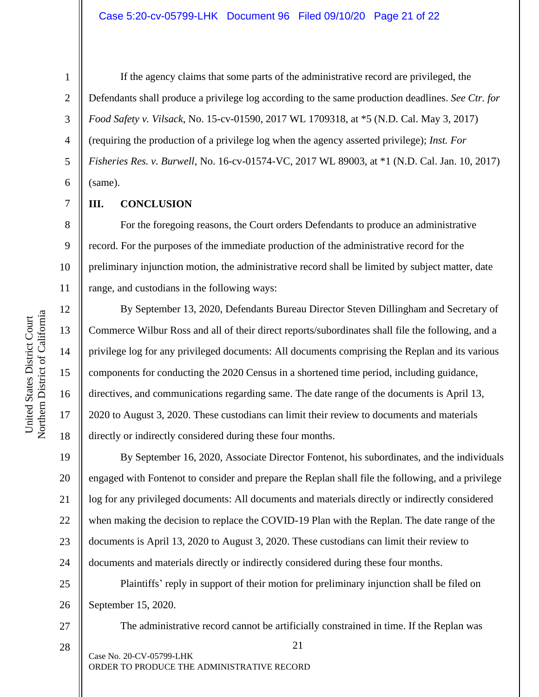1

2

3

4

5

6

7

8

9

10

11

12

13

14

15

16

17

18

If the agency claims that some parts of the administrative record are privileged, the Defendants shall produce a privilege log according to the same production deadlines. *See Ctr. for Food Safety v. Vilsack*, No. 15-cv-01590, 2017 WL 1709318, at \*5 (N.D. Cal. May 3, 2017) (requiring the production of a privilege log when the agency asserted privilege); *Inst. For Fisheries Res. v. Burwell*, No. 16-cv-01574-VC, 2017 WL 89003, at \*1 (N.D. Cal. Jan. 10, 2017) (same).

## **III. CONCLUSION**

For the foregoing reasons, the Court orders Defendants to produce an administrative record. For the purposes of the immediate production of the administrative record for the preliminary injunction motion, the administrative record shall be limited by subject matter, date range, and custodians in the following ways:

By September 13, 2020, Defendants Bureau Director Steven Dillingham and Secretary of Commerce Wilbur Ross and all of their direct reports/subordinates shall file the following, and a privilege log for any privileged documents: All documents comprising the Replan and its various components for conducting the 2020 Census in a shortened time period, including guidance, directives, and communications regarding same. The date range of the documents is April 13, 2020 to August 3, 2020. These custodians can limit their review to documents and materials directly or indirectly considered during these four months.

19 20 21 22 23 24 By September 16, 2020, Associate Director Fontenot, his subordinates, and the individuals engaged with Fontenot to consider and prepare the Replan shall file the following, and a privilege log for any privileged documents: All documents and materials directly or indirectly considered when making the decision to replace the COVID-19 Plan with the Replan. The date range of the documents is April 13, 2020 to August 3, 2020. These custodians can limit their review to documents and materials directly or indirectly considered during these four months.

25 26 Plaintiffs' reply in support of their motion for preliminary injunction shall be filed on September 15, 2020.

27 28 The administrative record cannot be artificially constrained in time. If the Replan was